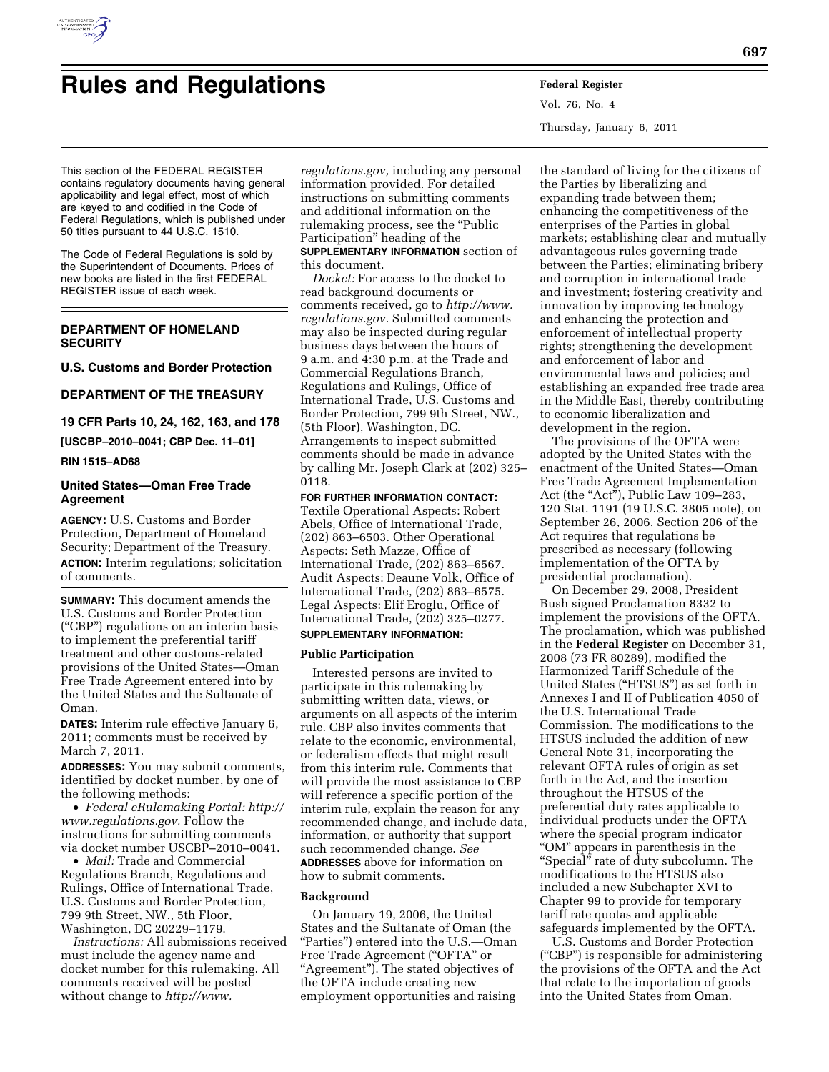

# **Rules and Regulations Federal Register**

Vol. 76, No. 4 Thursday, January 6, 2011

This section of the FEDERAL REGISTER contains regulatory documents having general applicability and legal effect, most of which are keyed to and codified in the Code of Federal Regulations, which is published under 50 titles pursuant to 44 U.S.C. 1510.

The Code of Federal Regulations is sold by the Superintendent of Documents. Prices of new books are listed in the first FEDERAL REGISTER issue of each week.

# **DEPARTMENT OF HOMELAND SECURITY**

## **U.S. Customs and Border Protection**

## **DEPARTMENT OF THE TREASURY**

**19 CFR Parts 10, 24, 162, 163, and 178** 

**[USCBP–2010–0041; CBP Dec. 11–01]** 

**RIN 1515–AD68** 

## **United States—Oman Free Trade Agreement**

**AGENCY:** U.S. Customs and Border Protection, Department of Homeland Security; Department of the Treasury. **ACTION:** Interim regulations; solicitation of comments.

**SUMMARY:** This document amends the U.S. Customs and Border Protection (''CBP'') regulations on an interim basis to implement the preferential tariff treatment and other customs-related provisions of the United States—Oman Free Trade Agreement entered into by the United States and the Sultanate of Oman.

**DATES:** Interim rule effective January 6, 2011; comments must be received by March 7, 2011.

**ADDRESSES:** You may submit comments, identified by docket number, by one of the following methods:

• *Federal eRulemaking Portal: [http://](http://www.regulations.gov)  [www.regulations.gov.](http://www.regulations.gov)* Follow the instructions for submitting comments via docket number USCBP–2010–0041.

• *Mail:* Trade and Commercial Regulations Branch, Regulations and Rulings, Office of International Trade, U.S. Customs and Border Protection, 799 9th Street, NW., 5th Floor, Washington, DC 20229–1179.

*Instructions:* All submissions received must include the agency name and docket number for this rulemaking. All comments received will be posted without change to *[http://www.](http://www.regulations.gov)*

*[regulations.gov,](http://www.regulations.gov)* including any personal information provided. For detailed instructions on submitting comments and additional information on the rulemaking process, see the "Public Participation'' heading of the **SUPPLEMENTARY INFORMATION** section of this document.

*Docket:* For access to the docket to read background documents or comments received, go to *[http://www.](http://www.regulations.gov) [regulations.gov.](http://www.regulations.gov)* Submitted comments may also be inspected during regular business days between the hours of 9 a.m. and 4:30 p.m. at the Trade and Commercial Regulations Branch, Regulations and Rulings, Office of International Trade, U.S. Customs and Border Protection, 799 9th Street, NW., (5th Floor), Washington, DC. Arrangements to inspect submitted comments should be made in advance by calling Mr. Joseph Clark at (202) 325– 0118.

**FOR FURTHER INFORMATION CONTACT:**  Textile Operational Aspects: Robert Abels, Office of International Trade, (202) 863–6503. Other Operational Aspects: Seth Mazze, Office of International Trade, (202) 863–6567. Audit Aspects: Deaune Volk, Office of International Trade, (202) 863–6575. Legal Aspects: Elif Eroglu, Office of International Trade, (202) 325–0277. **SUPPLEMENTARY INFORMATION:** 

## **Public Participation**

Interested persons are invited to participate in this rulemaking by submitting written data, views, or arguments on all aspects of the interim rule. CBP also invites comments that relate to the economic, environmental, or federalism effects that might result from this interim rule. Comments that will provide the most assistance to CBP will reference a specific portion of the interim rule, explain the reason for any recommended change, and include data, information, or authority that support such recommended change. *See*  **ADDRESSES** above for information on how to submit comments.

## **Background**

On January 19, 2006, the United States and the Sultanate of Oman (the ''Parties'') entered into the U.S.—Oman Free Trade Agreement (''OFTA'' or "Agreement"). The stated objectives of the OFTA include creating new employment opportunities and raising

the standard of living for the citizens of the Parties by liberalizing and expanding trade between them; enhancing the competitiveness of the enterprises of the Parties in global markets; establishing clear and mutually advantageous rules governing trade between the Parties; eliminating bribery and corruption in international trade and investment; fostering creativity and innovation by improving technology and enhancing the protection and enforcement of intellectual property rights; strengthening the development and enforcement of labor and environmental laws and policies; and establishing an expanded free trade area in the Middle East, thereby contributing to economic liberalization and development in the region.

The provisions of the OFTA were adopted by the United States with the enactment of the United States—Oman Free Trade Agreement Implementation Act (the "Act"), Public Law 109–283, 120 Stat. 1191 (19 U.S.C. 3805 note), on September 26, 2006. Section 206 of the Act requires that regulations be prescribed as necessary (following implementation of the OFTA by presidential proclamation).

On December 29, 2008, President Bush signed Proclamation 8332 to implement the provisions of the OFTA. The proclamation, which was published in the **Federal Register** on December 31, 2008 (73 FR 80289), modified the Harmonized Tariff Schedule of the United States (''HTSUS'') as set forth in Annexes I and II of Publication 4050 of the U.S. International Trade Commission. The modifications to the HTSUS included the addition of new General Note 31, incorporating the relevant OFTA rules of origin as set forth in the Act, and the insertion throughout the HTSUS of the preferential duty rates applicable to individual products under the OFTA where the special program indicator ''OM'' appears in parenthesis in the ''Special'' rate of duty subcolumn. The modifications to the HTSUS also included a new Subchapter XVI to Chapter 99 to provide for temporary tariff rate quotas and applicable safeguards implemented by the OFTA.

U.S. Customs and Border Protection (''CBP'') is responsible for administering the provisions of the OFTA and the Act that relate to the importation of goods into the United States from Oman.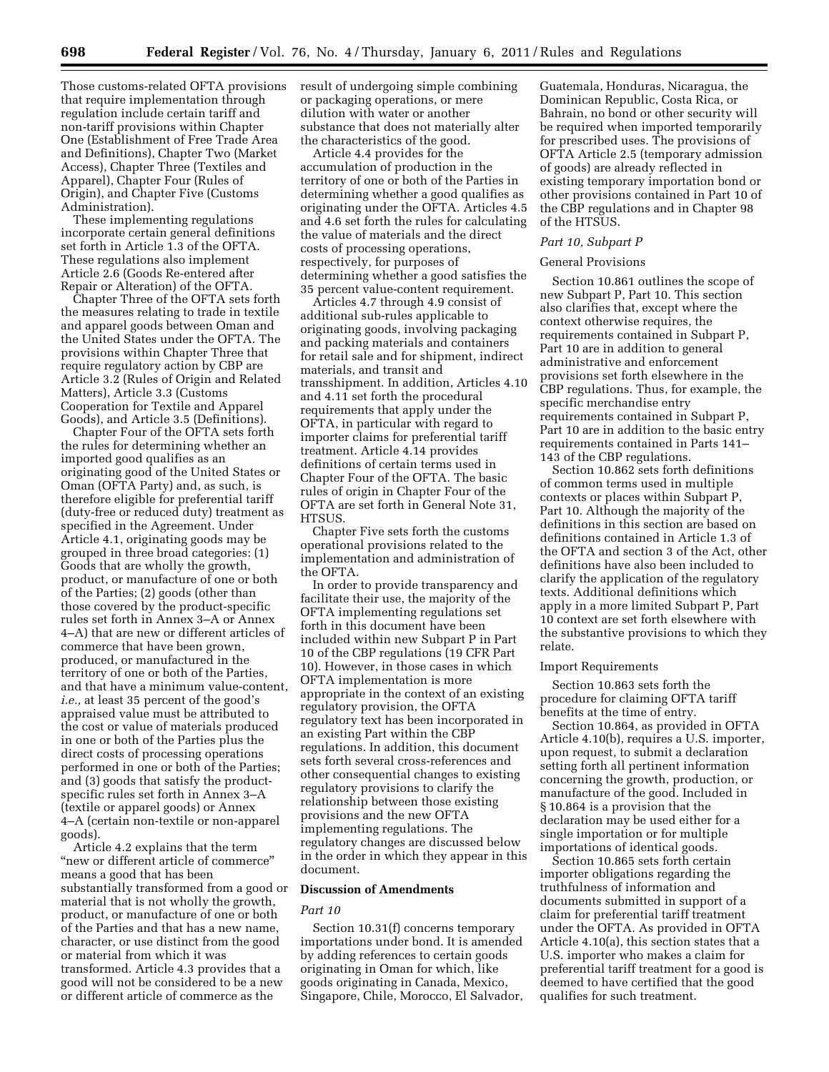Those customs-related OFTA provisions that require implementation through regulation include certain tariff and non-tariff provisions within Chapter One (Establishment of Free Trade Area and Definitions), Chapter Two (Market Access), Chapter Three (Textiles and Apparel), Chapter Four (Rules of Origin), and Chapter Five (Customs Administration).

These implementing regulations incorporate certain general definitions set forth in Article 1.3 of the OFTA. These regulations also implement Article 2.6 (Goods Re-entered after Repair or Alteration) of the OFTA.

Chapter Three of the OFTA sets forth the measures relating to trade in textile and apparel goods between Oman and the United States under the OFTA. The provisions within Chapter Three that require regulatory action by CBP are Article 3.2 (Rules of Origin and Related Matters), Article 3.3 (Customs Cooperation for Textile and Apparel Goods), and Article 3.5 (Definitions).

Chapter Four of the OFTA sets forth the rules for determining whether an imported good qualifies as an originating good of the United States or Oman (OFTA Party) and, as such, is therefore eligible for preferential tariff (duty-free or reduced duty) treatment as specified in the Agreement. Under Article 4.1, originating goods may be grouped in three broad categories: (1) Goods that are wholly the growth, product, or manufacture of one or both of the Parties; (2) goods (other than those covered by the product-specific rules set forth in Annex 3–A or Annex 4–A) that are new or different articles of commerce that have been grown, produced, or manufactured in the territory of one or both of the Parties, and that have a minimum value-content, *i.e.,* at least 35 percent of the good's appraised value must be attributed to the cost or value of materials produced in one or both of the Parties plus the direct costs of processing operations performed in one or both of the Parties; and (3) goods that satisfy the productspecific rules set forth in Annex 3–A (textile or apparel goods) or Annex 4–A (certain non-textile or non-apparel goods).

Article 4.2 explains that the term "new or different article of commerce" means a good that has been substantially transformed from a good or material that is not wholly the growth, product, or manufacture of one or both of the Parties and that has a new name, character, or use distinct from the good or material from which it was transformed. Article 4.3 provides that a good will not be considered to be a new or different article of commerce as the

result of undergoing simple combining or packaging operations, or mere dilution with water or another substance that does not materially alter the characteristics of the good.

Article 4.4 provides for the accumulation of production in the territory of one or both of the Parties in determining whether a good qualifies as originating under the OFTA. Articles 4.5 and 4.6 set forth the rules for calculating the value of materials and the direct costs of processing operations, respectively, for purposes of determining whether a good satisfies the 35 percent value-content requirement.

Articles 4.7 through 4.9 consist of additional sub-rules applicable to originating goods, involving packaging and packing materials and containers for retail sale and for shipment, indirect materials, and transit and transshipment. In addition, Articles 4.10 and 4.11 set forth the procedural requirements that apply under the OFTA, in particular with regard to importer claims for preferential tariff treatment. Article 4.14 provides definitions of certain terms used in Chapter Four of the OFTA. The basic rules of origin in Chapter Four of the OFTA are set forth in General Note 31, HTSUS.

Chapter Five sets forth the customs operational provisions related to the implementation and administration of the OFTA.

In order to provide transparency and facilitate their use, the majority of the OFTA implementing regulations set forth in this document have been included within new Subpart P in Part 10 of the CBP regulations (19 CFR Part 10). However, in those cases in which OFTA implementation is more appropriate in the context of an existing regulatory provision, the OFTA regulatory text has been incorporated in an existing Part within the CBP regulations. In addition, this document sets forth several cross-references and other consequential changes to existing regulatory provisions to clarify the relationship between those existing provisions and the new OFTA implementing regulations. The regulatory changes are discussed below in the order in which they appear in this document.

#### **Discussion of Amendments**

#### *Part 10*

Section 10.31(f) concerns temporary importations under bond. It is amended by adding references to certain goods originating in Oman for which, like goods originating in Canada, Mexico, Singapore, Chile, Morocco, El Salvador,

Guatemala, Honduras, Nicaragua, the Dominican Republic, Costa Rica, or Bahrain, no bond or other security will be required when imported temporarily for prescribed uses. The provisions of OFTA Article 2.5 (temporary admission of goods) are already reflected in existing temporary importation bond or other provisions contained in Part 10 of the CBP regulations and in Chapter 98 of the HTSUS.

#### *Part 10, Subpart P*

#### General Provisions

Section 10.861 outlines the scope of new Subpart P, Part 10. This section also clarifies that, except where the context otherwise requires, the requirements contained in Subpart P, Part 10 are in addition to general administrative and enforcement provisions set forth elsewhere in the CBP regulations. Thus, for example, the specific merchandise entry requirements contained in Subpart P, Part 10 are in addition to the basic entry requirements contained in Parts 141– 143 of the CBP regulations.

Section 10.862 sets forth definitions of common terms used in multiple contexts or places within Subpart P, Part 10. Although the majority of the definitions in this section are based on definitions contained in Article 1.3 of the OFTA and section 3 of the Act, other definitions have also been included to clarify the application of the regulatory texts. Additional definitions which apply in a more limited Subpart P, Part 10 context are set forth elsewhere with the substantive provisions to which they relate.

#### Import Requirements

Section 10.863 sets forth the procedure for claiming OFTA tariff benefits at the time of entry.

Section 10.864, as provided in OFTA Article 4.10(b), requires a U.S. importer, upon request, to submit a declaration setting forth all pertinent information concerning the growth, production, or manufacture of the good. Included in § 10.864 is a provision that the declaration may be used either for a single importation or for multiple importations of identical goods.

Section 10.865 sets forth certain importer obligations regarding the truthfulness of information and documents submitted in support of a claim for preferential tariff treatment under the OFTA. As provided in OFTA Article 4.10(a), this section states that a U.S. importer who makes a claim for preferential tariff treatment for a good is deemed to have certified that the good qualifies for such treatment.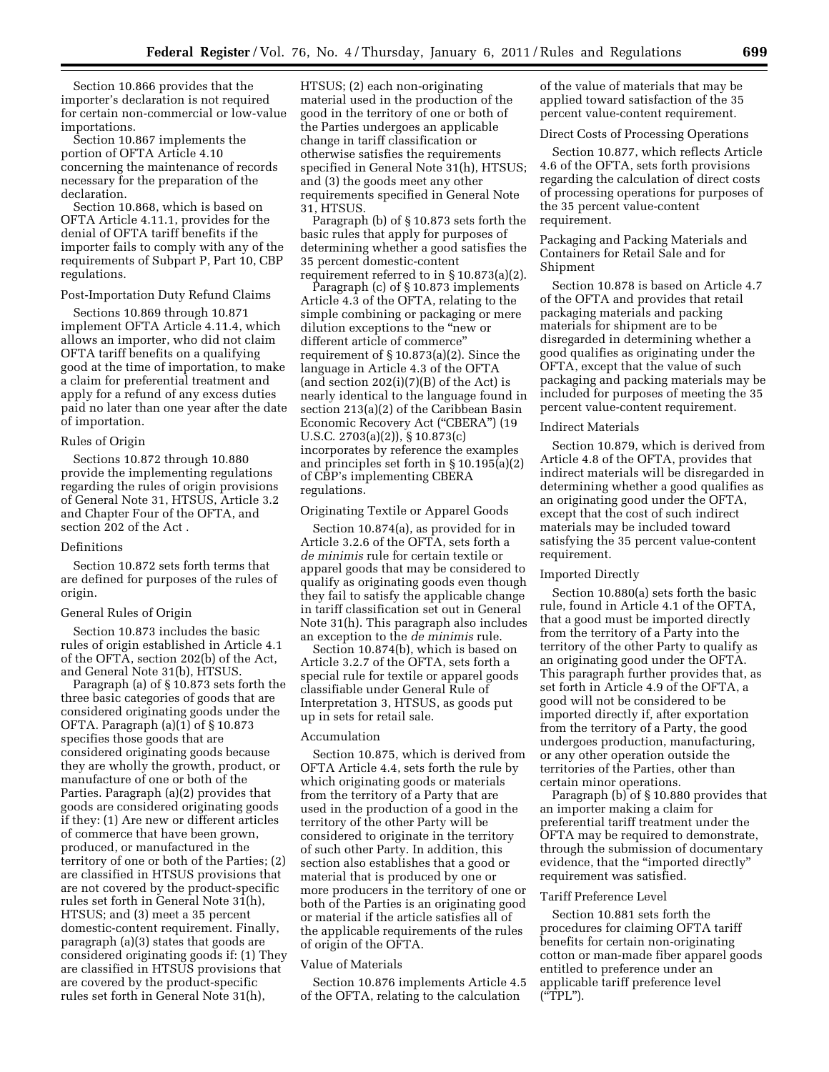Section 10.866 provides that the importer's declaration is not required for certain non-commercial or low-value importations.

Section 10.867 implements the portion of OFTA Article 4.10 concerning the maintenance of records necessary for the preparation of the declaration.

Section 10.868, which is based on OFTA Article 4.11.1, provides for the denial of OFTA tariff benefits if the importer fails to comply with any of the requirements of Subpart P, Part 10, CBP regulations.

#### Post-Importation Duty Refund Claims

Sections 10.869 through 10.871 implement OFTA Article 4.11.4, which allows an importer, who did not claim OFTA tariff benefits on a qualifying good at the time of importation, to make a claim for preferential treatment and apply for a refund of any excess duties paid no later than one year after the date of importation.

#### Rules of Origin

Sections 10.872 through 10.880 provide the implementing regulations regarding the rules of origin provisions of General Note 31, HTSUS, Article 3.2 and Chapter Four of the OFTA, and section 202 of the Act .

## Definitions

Section 10.872 sets forth terms that are defined for purposes of the rules of origin.

#### General Rules of Origin

Section 10.873 includes the basic rules of origin established in Article 4.1 of the OFTA, section 202(b) of the Act, and General Note 31(b), HTSUS.

Paragraph (a) of § 10.873 sets forth the three basic categories of goods that are considered originating goods under the OFTA. Paragraph (a)(1) of § 10.873 specifies those goods that are considered originating goods because they are wholly the growth, product, or manufacture of one or both of the Parties. Paragraph (a)(2) provides that goods are considered originating goods if they: (1) Are new or different articles of commerce that have been grown, produced, or manufactured in the territory of one or both of the Parties; (2) are classified in HTSUS provisions that are not covered by the product-specific rules set forth in General Note 31(h), HTSUS; and (3) meet a 35 percent domestic-content requirement. Finally, paragraph (a)(3) states that goods are considered originating goods if: (1) They are classified in HTSUS provisions that are covered by the product-specific rules set forth in General Note 31(h),

HTSUS; (2) each non-originating material used in the production of the good in the territory of one or both of the Parties undergoes an applicable change in tariff classification or otherwise satisfies the requirements specified in General Note 31(h), HTSUS; and (3) the goods meet any other requirements specified in General Note 31, HTSUS.

Paragraph (b) of § 10.873 sets forth the basic rules that apply for purposes of determining whether a good satisfies the 35 percent domestic-content requirement referred to in § 10.873(a)(2).

Paragraph (c) of § 10.873 implements Article 4.3 of the OFTA, relating to the simple combining or packaging or mere dilution exceptions to the ''new or different article of commerce'' requirement of § 10.873(a)(2). Since the language in Article 4.3 of the OFTA (and section  $202(i)(7)(B)$  of the Act) is nearly identical to the language found in section 213(a)(2) of the Caribbean Basin Economic Recovery Act (''CBERA'') (19 U.S.C. 2703(a)(2)), § 10.873(c) incorporates by reference the examples and principles set forth in § 10.195(a)(2) of CBP's implementing CBERA regulations.

#### Originating Textile or Apparel Goods

Section 10.874(a), as provided for in Article 3.2.6 of the OFTA, sets forth a *de minimis* rule for certain textile or apparel goods that may be considered to qualify as originating goods even though they fail to satisfy the applicable change in tariff classification set out in General Note 31(h). This paragraph also includes an exception to the *de minimis* rule.

Section 10.874(b), which is based on Article 3.2.7 of the OFTA, sets forth a special rule for textile or apparel goods classifiable under General Rule of Interpretation 3, HTSUS, as goods put up in sets for retail sale.

#### Accumulation

Section 10.875, which is derived from OFTA Article 4.4, sets forth the rule by which originating goods or materials from the territory of a Party that are used in the production of a good in the territory of the other Party will be considered to originate in the territory of such other Party. In addition, this section also establishes that a good or material that is produced by one or more producers in the territory of one or both of the Parties is an originating good or material if the article satisfies all of the applicable requirements of the rules of origin of the OFTA.

#### Value of Materials

Section 10.876 implements Article 4.5 of the OFTA, relating to the calculation

of the value of materials that may be applied toward satisfaction of the 35 percent value-content requirement.

#### Direct Costs of Processing Operations

Section 10.877, which reflects Article 4.6 of the OFTA, sets forth provisions regarding the calculation of direct costs of processing operations for purposes of the 35 percent value-content requirement.

## Packaging and Packing Materials and Containers for Retail Sale and for Shipment

Section 10.878 is based on Article 4.7 of the OFTA and provides that retail packaging materials and packing materials for shipment are to be disregarded in determining whether a good qualifies as originating under the OFTA, except that the value of such packaging and packing materials may be included for purposes of meeting the 35 percent value-content requirement.

#### Indirect Materials

Section 10.879, which is derived from Article 4.8 of the OFTA, provides that indirect materials will be disregarded in determining whether a good qualifies as an originating good under the OFTA, except that the cost of such indirect materials may be included toward satisfying the 35 percent value-content requirement.

#### Imported Directly

Section 10.880(a) sets forth the basic rule, found in Article 4.1 of the OFTA, that a good must be imported directly from the territory of a Party into the territory of the other Party to qualify as an originating good under the OFTA. This paragraph further provides that, as set forth in Article 4.9 of the OFTA, a good will not be considered to be imported directly if, after exportation from the territory of a Party, the good undergoes production, manufacturing, or any other operation outside the territories of the Parties, other than certain minor operations.

Paragraph (b) of § 10.880 provides that an importer making a claim for preferential tariff treatment under the OFTA may be required to demonstrate, through the submission of documentary evidence, that the ''imported directly'' requirement was satisfied.

## Tariff Preference Level

Section 10.881 sets forth the procedures for claiming OFTA tariff benefits for certain non-originating cotton or man-made fiber apparel goods entitled to preference under an applicable tariff preference level (''TPL'').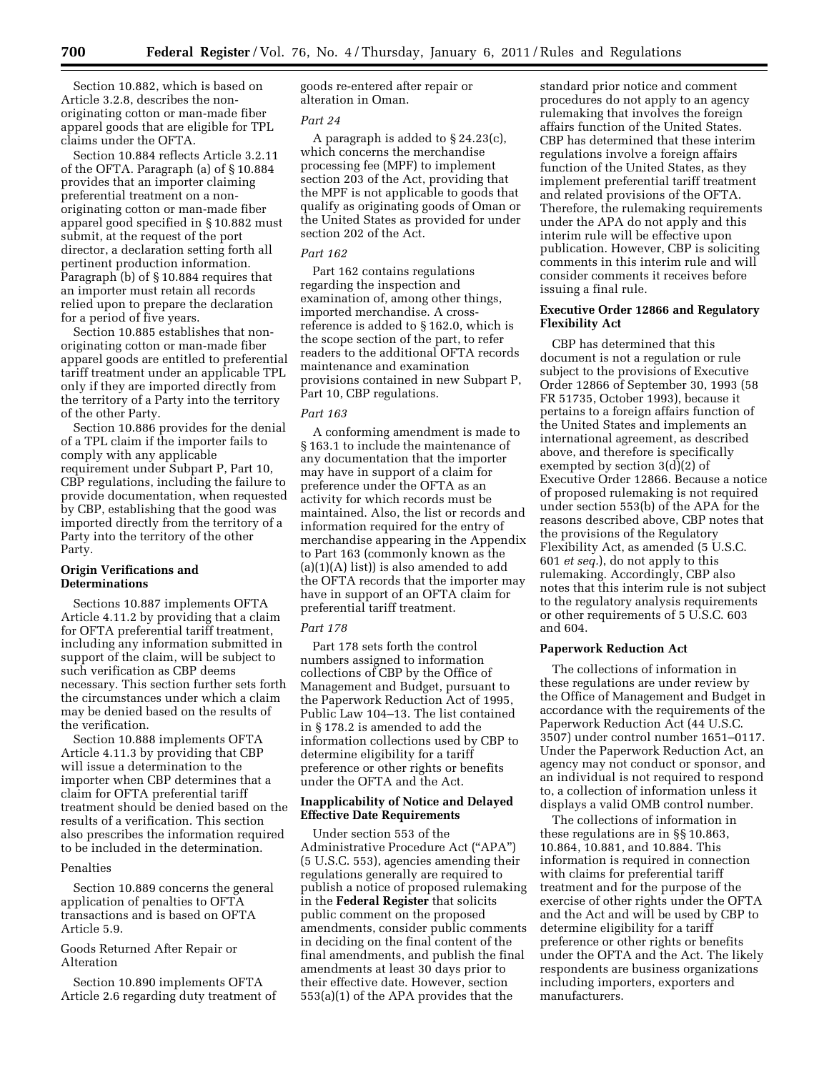Section 10.882, which is based on Article 3.2.8, describes the nonoriginating cotton or man-made fiber apparel goods that are eligible for TPL claims under the OFTA.

Section 10.884 reflects Article 3.2.11 of the OFTA. Paragraph (a) of § 10.884 provides that an importer claiming preferential treatment on a nonoriginating cotton or man-made fiber apparel good specified in § 10.882 must submit, at the request of the port director, a declaration setting forth all pertinent production information. Paragraph (b) of § 10.884 requires that an importer must retain all records relied upon to prepare the declaration for a period of five years.

Section 10.885 establishes that nonoriginating cotton or man-made fiber apparel goods are entitled to preferential tariff treatment under an applicable TPL only if they are imported directly from the territory of a Party into the territory of the other Party.

Section 10.886 provides for the denial of a TPL claim if the importer fails to comply with any applicable requirement under Subpart P, Part 10, CBP regulations, including the failure to provide documentation, when requested by CBP, establishing that the good was imported directly from the territory of a Party into the territory of the other Party.

## **Origin Verifications and Determinations**

Sections 10.887 implements OFTA Article 4.11.2 by providing that a claim for OFTA preferential tariff treatment, including any information submitted in support of the claim, will be subject to such verification as CBP deems necessary. This section further sets forth the circumstances under which a claim may be denied based on the results of the verification.

Section 10.888 implements OFTA Article 4.11.3 by providing that CBP will issue a determination to the importer when CBP determines that a claim for OFTA preferential tariff treatment should be denied based on the results of a verification. This section also prescribes the information required to be included in the determination.

## Penalties

Section 10.889 concerns the general application of penalties to OFTA transactions and is based on OFTA Article 5.9.

Goods Returned After Repair or Alteration

Section 10.890 implements OFTA Article 2.6 regarding duty treatment of goods re-entered after repair or alteration in Oman.

#### *Part 24*

A paragraph is added to § 24.23(c), which concerns the merchandise processing fee (MPF) to implement section 203 of the Act, providing that the MPF is not applicable to goods that qualify as originating goods of Oman or the United States as provided for under section 202 of the Act.

## *Part 162*

Part 162 contains regulations regarding the inspection and examination of, among other things, imported merchandise. A crossreference is added to § 162.0, which is the scope section of the part, to refer readers to the additional OFTA records maintenance and examination provisions contained in new Subpart P, Part 10, CBP regulations.

## *Part 163*

A conforming amendment is made to § 163.1 to include the maintenance of any documentation that the importer may have in support of a claim for preference under the OFTA as an activity for which records must be maintained. Also, the list or records and information required for the entry of merchandise appearing in the Appendix to Part 163 (commonly known as the  $(a)(1)(A)$  list)) is also amended to add the OFTA records that the importer may have in support of an OFTA claim for preferential tariff treatment.

#### *Part 178*

Part 178 sets forth the control numbers assigned to information collections of CBP by the Office of Management and Budget, pursuant to the Paperwork Reduction Act of 1995, Public Law 104–13. The list contained in § 178.2 is amended to add the information collections used by CBP to determine eligibility for a tariff preference or other rights or benefits under the OFTA and the Act.

## **Inapplicability of Notice and Delayed Effective Date Requirements**

Under section 553 of the Administrative Procedure Act (''APA'') (5 U.S.C. 553), agencies amending their regulations generally are required to publish a notice of proposed rulemaking in the **Federal Register** that solicits public comment on the proposed amendments, consider public comments in deciding on the final content of the final amendments, and publish the final amendments at least 30 days prior to their effective date. However, section 553(a)(1) of the APA provides that the

standard prior notice and comment procedures do not apply to an agency rulemaking that involves the foreign affairs function of the United States. CBP has determined that these interim regulations involve a foreign affairs function of the United States, as they implement preferential tariff treatment and related provisions of the OFTA. Therefore, the rulemaking requirements under the APA do not apply and this interim rule will be effective upon publication. However, CBP is soliciting comments in this interim rule and will consider comments it receives before issuing a final rule.

## **Executive Order 12866 and Regulatory Flexibility Act**

CBP has determined that this document is not a regulation or rule subject to the provisions of Executive Order 12866 of September 30, 1993 (58 FR 51735, October 1993), because it pertains to a foreign affairs function of the United States and implements an international agreement, as described above, and therefore is specifically exempted by section 3(d)(2) of Executive Order 12866. Because a notice of proposed rulemaking is not required under section 553(b) of the APA for the reasons described above, CBP notes that the provisions of the Regulatory Flexibility Act, as amended (5 U.S.C. 601 *et seq.*), do not apply to this rulemaking. Accordingly, CBP also notes that this interim rule is not subject to the regulatory analysis requirements or other requirements of 5 U.S.C. 603 and 604.

## **Paperwork Reduction Act**

The collections of information in these regulations are under review by the Office of Management and Budget in accordance with the requirements of the Paperwork Reduction Act (44 U.S.C. 3507) under control number 1651–0117. Under the Paperwork Reduction Act, an agency may not conduct or sponsor, and an individual is not required to respond to, a collection of information unless it displays a valid OMB control number.

The collections of information in these regulations are in §§ 10.863, 10.864, 10.881, and 10.884. This information is required in connection with claims for preferential tariff treatment and for the purpose of the exercise of other rights under the OFTA and the Act and will be used by CBP to determine eligibility for a tariff preference or other rights or benefits under the OFTA and the Act. The likely respondents are business organizations including importers, exporters and manufacturers.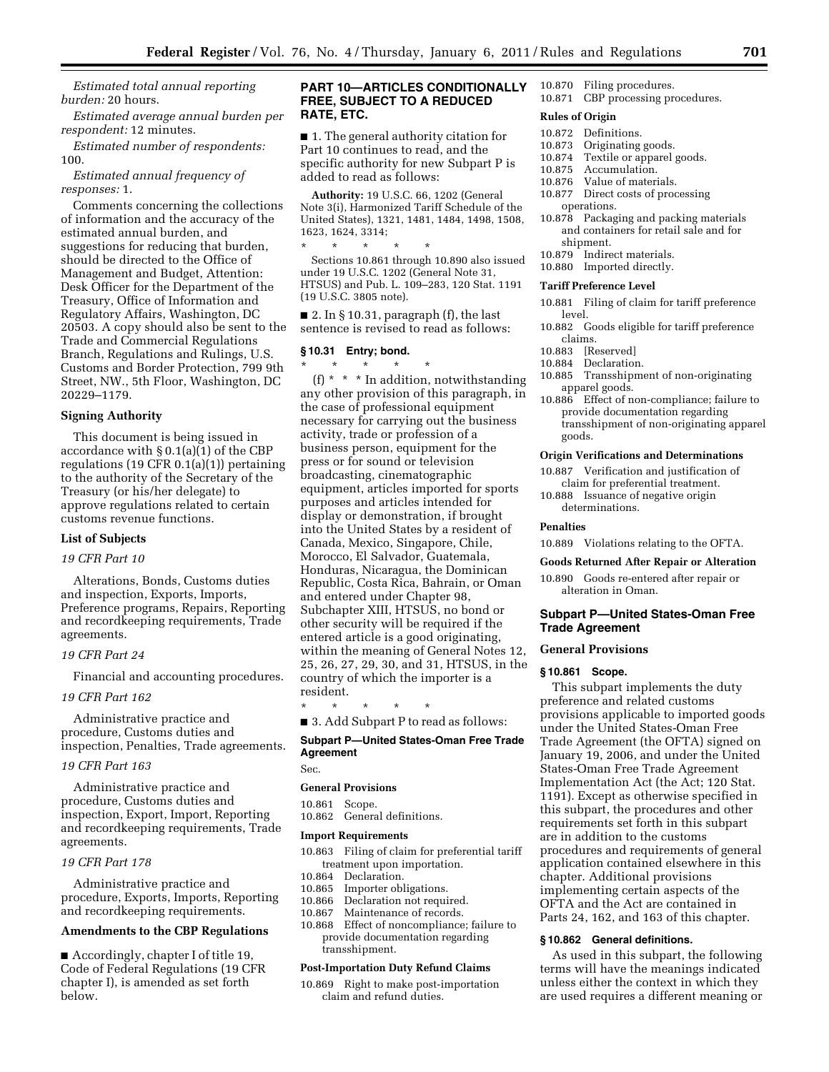*Estimated total annual reporting burden:* 20 hours.

*Estimated average annual burden per respondent:* 12 minutes.

*Estimated number of respondents:*  100.

*Estimated annual frequency of responses:* 1.

Comments concerning the collections of information and the accuracy of the estimated annual burden, and suggestions for reducing that burden, should be directed to the Office of Management and Budget, Attention: Desk Officer for the Department of the Treasury, Office of Information and Regulatory Affairs, Washington, DC 20503. A copy should also be sent to the Trade and Commercial Regulations Branch, Regulations and Rulings, U.S. Customs and Border Protection, 799 9th Street, NW., 5th Floor, Washington, DC 20229–1179.

## **Signing Authority**

This document is being issued in accordance with § 0.1(a)(1) of the CBP regulations (19 CFR 0.1(a)(1)) pertaining to the authority of the Secretary of the Treasury (or his/her delegate) to approve regulations related to certain customs revenue functions.

## **List of Subjects**

## *19 CFR Part 10*

Alterations, Bonds, Customs duties and inspection, Exports, Imports, Preference programs, Repairs, Reporting and recordkeeping requirements, Trade agreements.

## *19 CFR Part 24*

Financial and accounting procedures.

## *19 CFR Part 162*

Administrative practice and procedure, Customs duties and inspection, Penalties, Trade agreements.

## *19 CFR Part 163*

Administrative practice and procedure, Customs duties and inspection, Export, Import, Reporting and recordkeeping requirements, Trade agreements.

## *19 CFR Part 178*

Administrative practice and procedure, Exports, Imports, Reporting and recordkeeping requirements.

#### **Amendments to the CBP Regulations**

■ Accordingly, chapter I of title 19, Code of Federal Regulations (19 CFR chapter I), is amended as set forth below.

## **PART 10—ARTICLES CONDITIONALLY FREE, SUBJECT TO A REDUCED RATE, ETC.**

■ 1. The general authority citation for Part 10 continues to read, and the specific authority for new Subpart P is added to read as follows:

**Authority:** 19 U.S.C. 66, 1202 (General Note 3(i), Harmonized Tariff Schedule of the United States), 1321, 1481, 1484, 1498, 1508, 1623, 1624, 3314;

\* \* \* \* \* Sections 10.861 through 10.890 also issued under 19 U.S.C. 1202 (General Note 31, HTSUS) and Pub. L. 109–283, 120 Stat. 1191 (19 U.S.C. 3805 note).

■ 2. In § 10.31, paragraph (f), the last sentence is revised to read as follows:

## **§ 10.31 Entry; bond.**

\* \* \* \* \* (f) \* \* \* In addition, notwithstanding any other provision of this paragraph, in the case of professional equipment necessary for carrying out the business activity, trade or profession of a business person, equipment for the press or for sound or television broadcasting, cinematographic equipment, articles imported for sports purposes and articles intended for display or demonstration, if brought into the United States by a resident of Canada, Mexico, Singapore, Chile, Morocco, El Salvador, Guatemala, Honduras, Nicaragua, the Dominican Republic, Costa Rica, Bahrain, or Oman and entered under Chapter 98, Subchapter XIII, HTSUS, no bond or other security will be required if the entered article is a good originating, within the meaning of General Notes 12, 25, 26, 27, 29, 30, and 31, HTSUS, in the country of which the importer is a resident.

\* \* \* \* \*

■ 3. Add Subpart P to read as follows:

## **Subpart P—United States-Oman Free Trade Agreement**

Sec.

#### **General Provisions**

10.861 Scope.

10.862 General definitions.

#### **Import Requirements**

- 10.863 Filing of claim for preferential tariff treatment upon importation.
- 10.864 Declaration.
- 10.865 Importer obligations.<br>10.866 Declaration not requi
- Declaration not required.
- 10.867 Maintenance of records.
- 10.868 Effect of noncompliance; failure to provide documentation regarding transshipment.

## **Post-Importation Duty Refund Claims**

10.869 Right to make post-importation claim and refund duties.

# 10.870 Filing procedures.

10.871 CBP processing procedures.

## **Rules of Origin**

- 10.872 Definitions.
- 10.873 Originating goods.<br>10.874 Textile or apparel g
- Textile or apparel goods.
- 10.875 Accumulation.
- 10.876 Value of materials.
- 10.877 Direct costs of processing operations.
- 10.878 Packaging and packing materials and containers for retail sale and for shipment.
- 10.879 Indirect materials.
- 10.880 Imported directly.

#### **Tariff Preference Level**

- 10.881 Filing of claim for tariff preference level.
- 10.882 Goods eligible for tariff preference claims.
- 10.883 [Reserved]<br>10.884 Declaration
- Declaration.
- 10.885 Transshipment of non-originating apparel goods.
- 10.886 Effect of non-compliance; failure to provide documentation regarding transshipment of non-originating apparel goods.

## **Origin Verifications and Determinations**

- 10.887 Verification and justification of claim for preferential treatment.
- 10.888 Issuance of negative origin determinations.

## **Penalties**

10.889 Violations relating to the OFTA.

#### **Goods Returned After Repair or Alteration**

10.890 Goods re-entered after repair or alteration in Oman.

## **Subpart P—United States-Oman Free Trade Agreement**

#### **General Provisions**

## **§ 10.861 Scope.**

This subpart implements the duty preference and related customs provisions applicable to imported goods under the United States-Oman Free Trade Agreement (the OFTA) signed on January 19, 2006, and under the United States-Oman Free Trade Agreement Implementation Act (the Act; 120 Stat. 1191). Except as otherwise specified in this subpart, the procedures and other requirements set forth in this subpart are in addition to the customs procedures and requirements of general application contained elsewhere in this chapter. Additional provisions implementing certain aspects of the OFTA and the Act are contained in Parts 24, 162, and 163 of this chapter.

#### **§ 10.862 General definitions.**

As used in this subpart, the following terms will have the meanings indicated unless either the context in which they are used requires a different meaning or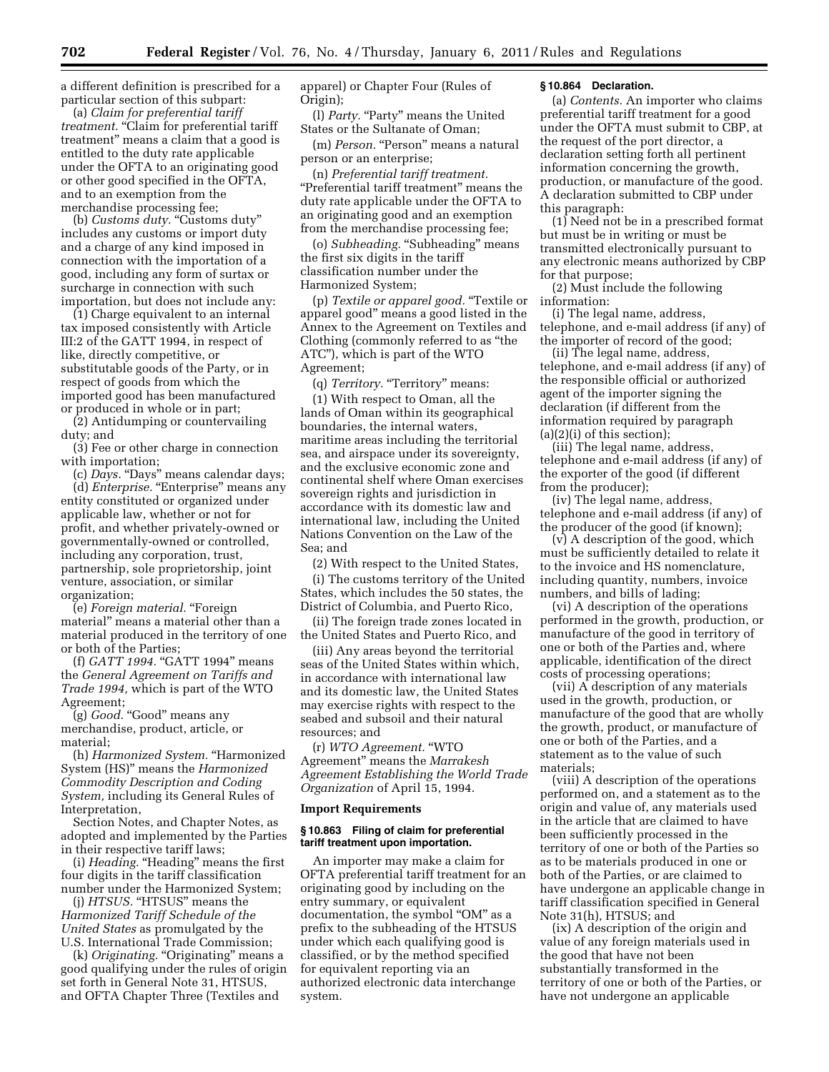a different definition is prescribed for a particular section of this subpart:

(a) *Claim for preferential tariff*  treatment. "Claim for preferential tariff treatment'' means a claim that a good is entitled to the duty rate applicable under the OFTA to an originating good or other good specified in the OFTA, and to an exemption from the merchandise processing fee;

(b) *Customs duty*. "Customs duty" includes any customs or import duty and a charge of any kind imposed in connection with the importation of a good, including any form of surtax or surcharge in connection with such importation, but does not include any:

(1) Charge equivalent to an internal tax imposed consistently with Article III:2 of the GATT 1994, in respect of like, directly competitive, or substitutable goods of the Party, or in respect of goods from which the imported good has been manufactured or produced in whole or in part;

(2) Antidumping or countervailing duty; and

(3) Fee or other charge in connection with importation;

(c) *Days.* "Days" means calendar days; (d) *Enterprise*. "Enterprise" means any entity constituted or organized under applicable law, whether or not for profit, and whether privately-owned or governmentally-owned or controlled, including any corporation, trust, partnership, sole proprietorship, joint venture, association, or similar organization;

(e) *Foreign material.* ''Foreign material'' means a material other than a material produced in the territory of one or both of the Parties;

(f) *GATT 1994.* "GATT 1994" means the *General Agreement on Tariffs and Trade 1994,* which is part of the WTO Agreement;

(g) *Good.* "Good" means any merchandise, product, article, or material;

(h) *Harmonized System.* ''Harmonized System (HS)'' means the *Harmonized Commodity Description and Coding System,* including its General Rules of Interpretation,

Section Notes, and Chapter Notes, as adopted and implemented by the Parties in their respective tariff laws;

(i) *Heading*. "Heading" means the first four digits in the tariff classification number under the Harmonized System;

(i) *HTSUS*. "HTSUS" means the *Harmonized Tariff Schedule of the United States* as promulgated by the U.S. International Trade Commission;

(k) *Originating.* "Originating" means a good qualifying under the rules of origin set forth in General Note 31, HTSUS, and OFTA Chapter Three (Textiles and

apparel) or Chapter Four (Rules of Origin);

(l) *Party.* "Party" means the United States or the Sultanate of Oman;

(m) *Person.* "Person" means a natural person or an enterprise;

(n) *Preferential tariff treatment.*  ''Preferential tariff treatment'' means the duty rate applicable under the OFTA to an originating good and an exemption from the merchandise processing fee;

(o) *Subheading.* "Subheading" means the first six digits in the tariff classification number under the Harmonized System;

(p) *Textile or apparel good.* ''Textile or apparel good'' means a good listed in the Annex to the Agreement on Textiles and Clothing (commonly referred to as ''the ATC''), which is part of the WTO Agreement;

(q) *Territory*. "Territory" means:

(1) With respect to Oman, all the lands of Oman within its geographical boundaries, the internal waters, maritime areas including the territorial sea, and airspace under its sovereignty, and the exclusive economic zone and continental shelf where Oman exercises sovereign rights and jurisdiction in accordance with its domestic law and international law, including the United Nations Convention on the Law of the Sea; and

(2) With respect to the United States,

(i) The customs territory of the United States, which includes the 50 states, the District of Columbia, and Puerto Rico,

(ii) The foreign trade zones located in the United States and Puerto Rico, and

(iii) Any areas beyond the territorial seas of the United States within which, in accordance with international law and its domestic law, the United States may exercise rights with respect to the seabed and subsoil and their natural resources; and

(r) *WTO Agreement.* ''WTO Agreement'' means the *Marrakesh Agreement Establishing the World Trade Organization* of April 15, 1994.

## **Import Requirements**

#### **§ 10.863 Filing of claim for preferential tariff treatment upon importation.**

An importer may make a claim for OFTA preferential tariff treatment for an originating good by including on the entry summary, or equivalent documentation, the symbol "OM" as a prefix to the subheading of the HTSUS under which each qualifying good is classified, or by the method specified for equivalent reporting via an authorized electronic data interchange system.

#### **§ 10.864 Declaration.**

(a) *Contents.* An importer who claims preferential tariff treatment for a good under the OFTA must submit to CBP, at the request of the port director, a declaration setting forth all pertinent information concerning the growth, production, or manufacture of the good. A declaration submitted to CBP under this paragraph:

(1) Need not be in a prescribed format but must be in writing or must be transmitted electronically pursuant to any electronic means authorized by CBP for that purpose;

(2) Must include the following information:

(i) The legal name, address, telephone, and e-mail address (if any) of the importer of record of the good;

(ii) The legal name, address, telephone, and e-mail address (if any) of the responsible official or authorized agent of the importer signing the declaration (if different from the information required by paragraph  $(a)(2)(i)$  of this section);

(iii) The legal name, address, telephone and e-mail address (if any) of the exporter of the good (if different from the producer);

(iv) The legal name, address, telephone and e-mail address (if any) of the producer of the good (if known);

(v) A description of the good, which must be sufficiently detailed to relate it to the invoice and HS nomenclature, including quantity, numbers, invoice numbers, and bills of lading;

(vi) A description of the operations performed in the growth, production, or manufacture of the good in territory of one or both of the Parties and, where applicable, identification of the direct costs of processing operations;

(vii) A description of any materials used in the growth, production, or manufacture of the good that are wholly the growth, product, or manufacture of one or both of the Parties, and a statement as to the value of such materials;

(viii) A description of the operations performed on, and a statement as to the origin and value of, any materials used in the article that are claimed to have been sufficiently processed in the territory of one or both of the Parties so as to be materials produced in one or both of the Parties, or are claimed to have undergone an applicable change in tariff classification specified in General Note 31(h), HTSUS; and

(ix) A description of the origin and value of any foreign materials used in the good that have not been substantially transformed in the territory of one or both of the Parties, or have not undergone an applicable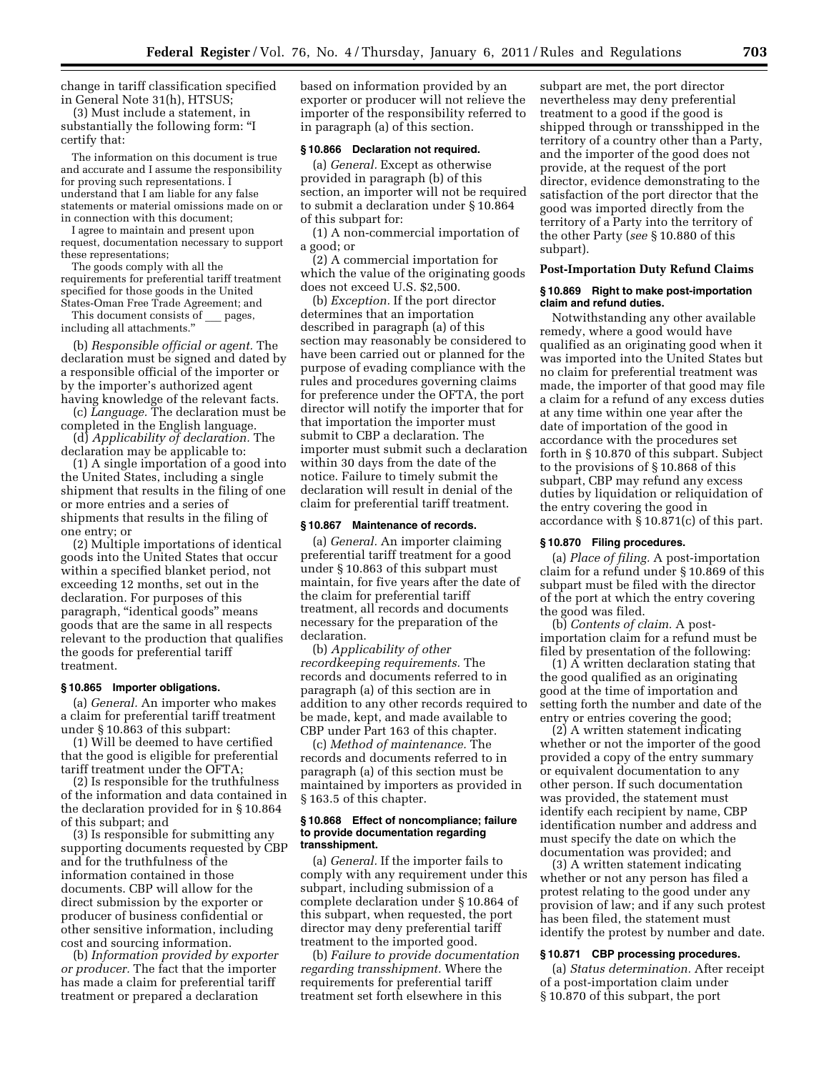change in tariff classification specified in General Note 31(h), HTSUS;

(3) Must include a statement, in substantially the following form: ''I certify that:

The information on this document is true and accurate and I assume the responsibility for proving such representations. I understand that I am liable for any false statements or material omissions made on or in connection with this document;

I agree to maintain and present upon request, documentation necessary to support these representations;

The goods comply with all the requirements for preferential tariff treatment specified for those goods in the United States-Oman Free Trade Agreement; and

This document consists of \_\_\_ pages, including all attachments.''

(b) *Responsible official or agent.* The declaration must be signed and dated by a responsible official of the importer or by the importer's authorized agent having knowledge of the relevant facts.

(c) *Language.* The declaration must be completed in the English language.

(d) *Applicability of declaration.* The declaration may be applicable to:

(1) A single importation of a good into the United States, including a single shipment that results in the filing of one or more entries and a series of shipments that results in the filing of one entry; or

(2) Multiple importations of identical goods into the United States that occur within a specified blanket period, not exceeding 12 months, set out in the declaration. For purposes of this paragraph, ''identical goods'' means goods that are the same in all respects relevant to the production that qualifies the goods for preferential tariff treatment.

#### **§ 10.865 Importer obligations.**

(a) *General.* An importer who makes a claim for preferential tariff treatment under § 10.863 of this subpart:

(1) Will be deemed to have certified that the good is eligible for preferential tariff treatment under the OFTA;

(2) Is responsible for the truthfulness of the information and data contained in the declaration provided for in § 10.864 of this subpart; and

(3) Is responsible for submitting any supporting documents requested by CBP and for the truthfulness of the information contained in those documents. CBP will allow for the direct submission by the exporter or producer of business confidential or other sensitive information, including cost and sourcing information.

(b) *Information provided by exporter or producer.* The fact that the importer has made a claim for preferential tariff treatment or prepared a declaration

based on information provided by an exporter or producer will not relieve the importer of the responsibility referred to in paragraph (a) of this section.

## **§ 10.866 Declaration not required.**

(a) *General.* Except as otherwise provided in paragraph (b) of this section, an importer will not be required to submit a declaration under § 10.864 of this subpart for:

(1) A non-commercial importation of a good; or

(2) A commercial importation for which the value of the originating goods does not exceed U.S. \$2,500.

(b) *Exception.* If the port director determines that an importation described in paragraph (a) of this section may reasonably be considered to have been carried out or planned for the purpose of evading compliance with the rules and procedures governing claims for preference under the OFTA, the port director will notify the importer that for that importation the importer must submit to CBP a declaration. The importer must submit such a declaration within 30 days from the date of the notice. Failure to timely submit the declaration will result in denial of the claim for preferential tariff treatment.

#### **§ 10.867 Maintenance of records.**

(a) *General.* An importer claiming preferential tariff treatment for a good under § 10.863 of this subpart must maintain, for five years after the date of the claim for preferential tariff treatment, all records and documents necessary for the preparation of the declaration.

(b) *Applicability of other recordkeeping requirements.* The records and documents referred to in paragraph (a) of this section are in addition to any other records required to be made, kept, and made available to CBP under Part 163 of this chapter.

(c) *Method of maintenance.* The records and documents referred to in paragraph (a) of this section must be maintained by importers as provided in § 163.5 of this chapter.

#### **§ 10.868 Effect of noncompliance; failure to provide documentation regarding transshipment.**

(a) *General.* If the importer fails to comply with any requirement under this subpart, including submission of a complete declaration under § 10.864 of this subpart, when requested, the port director may deny preferential tariff treatment to the imported good.

(b) *Failure to provide documentation regarding transshipment.* Where the requirements for preferential tariff treatment set forth elsewhere in this

subpart are met, the port director nevertheless may deny preferential treatment to a good if the good is shipped through or transshipped in the territory of a country other than a Party, and the importer of the good does not provide, at the request of the port director, evidence demonstrating to the satisfaction of the port director that the good was imported directly from the territory of a Party into the territory of the other Party (*see* § 10.880 of this subpart).

#### **Post-Importation Duty Refund Claims**

## **§ 10.869 Right to make post-importation claim and refund duties.**

Notwithstanding any other available remedy, where a good would have qualified as an originating good when it was imported into the United States but no claim for preferential treatment was made, the importer of that good may file a claim for a refund of any excess duties at any time within one year after the date of importation of the good in accordance with the procedures set forth in § 10.870 of this subpart. Subject to the provisions of § 10.868 of this subpart, CBP may refund any excess duties by liquidation or reliquidation of the entry covering the good in accordance with § 10.871(c) of this part.

#### **§ 10.870 Filing procedures.**

(a) *Place of filing.* A post-importation claim for a refund under § 10.869 of this subpart must be filed with the director of the port at which the entry covering the good was filed.

(b) *Contents of claim.* A postimportation claim for a refund must be filed by presentation of the following:

(1) A written declaration stating that the good qualified as an originating good at the time of importation and setting forth the number and date of the entry or entries covering the good;

(2) A written statement indicating whether or not the importer of the good provided a copy of the entry summary or equivalent documentation to any other person. If such documentation was provided, the statement must identify each recipient by name, CBP identification number and address and must specify the date on which the documentation was provided; and

(3) A written statement indicating whether or not any person has filed a protest relating to the good under any provision of law; and if any such protest has been filed, the statement must identify the protest by number and date.

## **§ 10.871 CBP processing procedures.**

(a) *Status determination.* After receipt of a post-importation claim under § 10.870 of this subpart, the port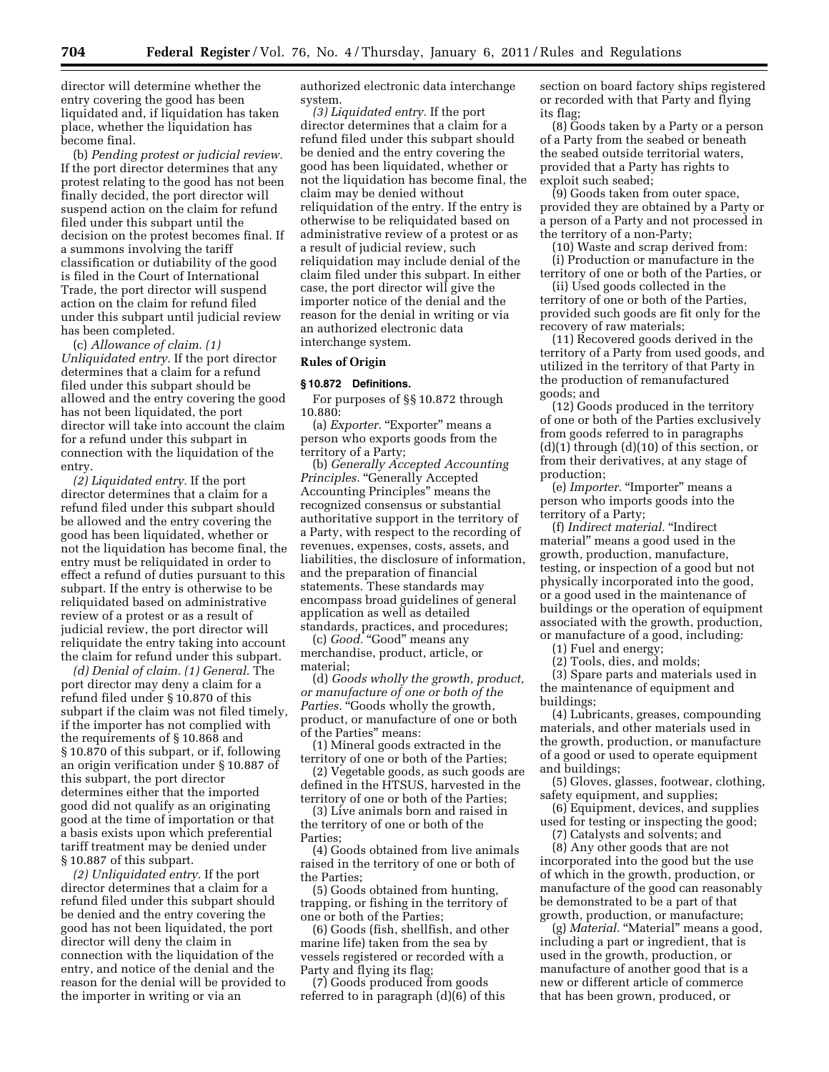director will determine whether the entry covering the good has been liquidated and, if liquidation has taken place, whether the liquidation has become final.

(b) *Pending protest or judicial review.*  If the port director determines that any protest relating to the good has not been finally decided, the port director will suspend action on the claim for refund filed under this subpart until the decision on the protest becomes final. If a summons involving the tariff classification or dutiability of the good is filed in the Court of International Trade, the port director will suspend action on the claim for refund filed under this subpart until judicial review has been completed.

(c) *Allowance of claim. (1) Unliquidated entry.* If the port director determines that a claim for a refund filed under this subpart should be allowed and the entry covering the good has not been liquidated, the port director will take into account the claim for a refund under this subpart in connection with the liquidation of the entry.

*(2) Liquidated entry.* If the port director determines that a claim for a refund filed under this subpart should be allowed and the entry covering the good has been liquidated, whether or not the liquidation has become final, the entry must be reliquidated in order to effect a refund of duties pursuant to this subpart. If the entry is otherwise to be reliquidated based on administrative review of a protest or as a result of judicial review, the port director will reliquidate the entry taking into account the claim for refund under this subpart.

*(d) Denial of claim. (1) General.* The port director may deny a claim for a refund filed under § 10.870 of this subpart if the claim was not filed timely, if the importer has not complied with the requirements of § 10.868 and § 10.870 of this subpart, or if, following an origin verification under § 10.887 of this subpart, the port director determines either that the imported good did not qualify as an originating good at the time of importation or that a basis exists upon which preferential tariff treatment may be denied under § 10.887 of this subpart.

*(2) Unliquidated entry.* If the port director determines that a claim for a refund filed under this subpart should be denied and the entry covering the good has not been liquidated, the port director will deny the claim in connection with the liquidation of the entry, and notice of the denial and the reason for the denial will be provided to the importer in writing or via an

authorized electronic data interchange system.

*(3) Liquidated entry.* If the port director determines that a claim for a refund filed under this subpart should be denied and the entry covering the good has been liquidated, whether or not the liquidation has become final, the claim may be denied without reliquidation of the entry. If the entry is otherwise to be reliquidated based on administrative review of a protest or as a result of judicial review, such reliquidation may include denial of the claim filed under this subpart. In either case, the port director will give the importer notice of the denial and the reason for the denial in writing or via an authorized electronic data interchange system.

#### **Rules of Origin**

**§ 10.872 Definitions.**  For purposes of §§ 10.872 through 10.880:

(a) *Exporter.* "Exporter" means a person who exports goods from the territory of a Party;

(b) *Generally Accepted Accounting Principles.* "Generally Accepted Accounting Principles'' means the recognized consensus or substantial authoritative support in the territory of a Party, with respect to the recording of revenues, expenses, costs, assets, and liabilities, the disclosure of information, and the preparation of financial statements. These standards may encompass broad guidelines of general application as well as detailed standards, practices, and procedures;

(c) *Good.* "Good" means any merchandise, product, article, or material;

(d) *Goods wholly the growth, product, or manufacture of one or both of the Parties.* "Goods wholly the growth, product, or manufacture of one or both of the Parties'' means:

(1) Mineral goods extracted in the territory of one or both of the Parties;

(2) Vegetable goods, as such goods are defined in the HTSUS, harvested in the territory of one or both of the Parties;

(3) Live animals born and raised in the territory of one or both of the Parties;

(4) Goods obtained from live animals raised in the territory of one or both of the Parties;

(5) Goods obtained from hunting, trapping, or fishing in the territory of one or both of the Parties;

(6) Goods (fish, shellfish, and other marine life) taken from the sea by vessels registered or recorded with a Party and flying its flag;

(7) Goods produced from goods referred to in paragraph (d)(6) of this section on board factory ships registered or recorded with that Party and flying its flag;

(8) Goods taken by a Party or a person of a Party from the seabed or beneath the seabed outside territorial waters, provided that a Party has rights to exploit such seabed;

(9) Goods taken from outer space, provided they are obtained by a Party or a person of a Party and not processed in the territory of a non-Party;

(10) Waste and scrap derived from: (i) Production or manufacture in the

territory of one or both of the Parties, or (ii) Used goods collected in the

territory of one or both of the Parties, provided such goods are fit only for the recovery of raw materials;

(11) Recovered goods derived in the territory of a Party from used goods, and utilized in the territory of that Party in the production of remanufactured goods; and

(12) Goods produced in the territory of one or both of the Parties exclusively from goods referred to in paragraphs  $(d)(1)$  through  $(d)(10)$  of this section, or from their derivatives, at any stage of production;

(e) *Importer*. "Importer" means a person who imports goods into the territory of a Party;

(f) *Indirect material.* ''Indirect material'' means a good used in the growth, production, manufacture, testing, or inspection of a good but not physically incorporated into the good, or a good used in the maintenance of buildings or the operation of equipment associated with the growth, production, or manufacture of a good, including:

(1) Fuel and energy;

(2) Tools, dies, and molds;

(3) Spare parts and materials used in the maintenance of equipment and buildings;

(4) Lubricants, greases, compounding materials, and other materials used in the growth, production, or manufacture of a good or used to operate equipment and buildings;

(5) Gloves, glasses, footwear, clothing, safety equipment, and supplies;

(6) Equipment, devices, and supplies used for testing or inspecting the good;

(7) Catalysts and solvents; and

(8) Any other goods that are not incorporated into the good but the use of which in the growth, production, or manufacture of the good can reasonably be demonstrated to be a part of that growth, production, or manufacture;

(g) *Material.* "Material" means a good, including a part or ingredient, that is used in the growth, production, or manufacture of another good that is a new or different article of commerce that has been grown, produced, or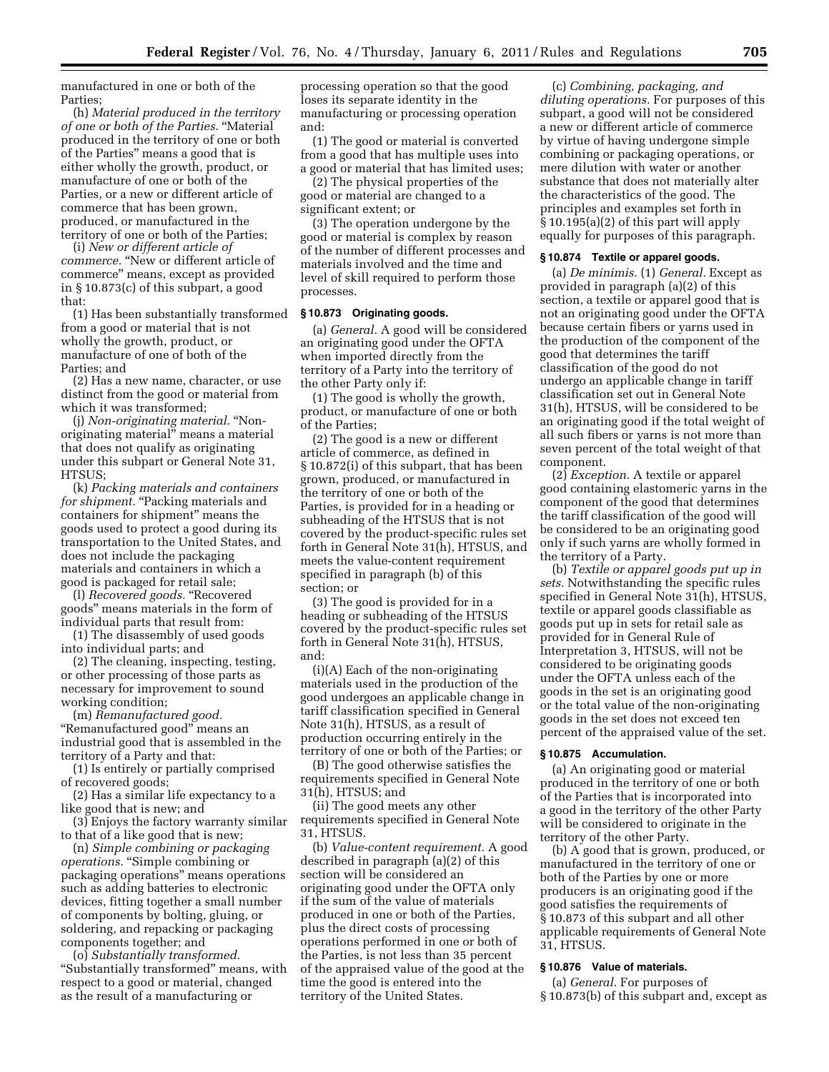manufactured in one or both of the Parties;

(h) *Material produced in the territory of one or both of the Parties.* ''Material produced in the territory of one or both of the Parties'' means a good that is either wholly the growth, product, or manufacture of one or both of the Parties, or a new or different article of commerce that has been grown, produced, or manufactured in the territory of one or both of the Parties;

(i) *New or different article of commerce.* ''New or different article of commerce'' means, except as provided in § 10.873(c) of this subpart, a good that:

(1) Has been substantially transformed from a good or material that is not wholly the growth, product, or manufacture of one of both of the Parties; and

(2) Has a new name, character, or use distinct from the good or material from which it was transformed;

(j) *Non-originating material.* ''Nonoriginating material'' means a material that does not qualify as originating under this subpart or General Note 31, HTSUS;

(k) *Packing materials and containers for shipment.* "Packing materials and containers for shipment'' means the goods used to protect a good during its transportation to the United States, and does not include the packaging materials and containers in which a good is packaged for retail sale;

(l) *Recovered goods.* ''Recovered goods'' means materials in the form of individual parts that result from:

(1) The disassembly of used goods into individual parts; and

(2) The cleaning, inspecting, testing, or other processing of those parts as necessary for improvement to sound working condition;

(m) *Remanufactured good.*  ''Remanufactured good'' means an industrial good that is assembled in the territory of a Party and that:

(1) Is entirely or partially comprised of recovered goods;

- (2) Has a similar life expectancy to a like good that is new; and
- (3) Enjoys the factory warranty similar to that of a like good that is new;

(n) *Simple combining or packaging operations.* ''Simple combining or packaging operations'' means operations such as adding batteries to electronic devices, fitting together a small number of components by bolting, gluing, or soldering, and repacking or packaging components together; and

(o) *Substantially transformed.*  ''Substantially transformed'' means, with respect to a good or material, changed as the result of a manufacturing or

processing operation so that the good loses its separate identity in the manufacturing or processing operation and:

(1) The good or material is converted from a good that has multiple uses into a good or material that has limited uses;

(2) The physical properties of the good or material are changed to a significant extent; or

(3) The operation undergone by the good or material is complex by reason of the number of different processes and materials involved and the time and level of skill required to perform those processes.

#### **§ 10.873 Originating goods.**

(a) *General.* A good will be considered an originating good under the OFTA when imported directly from the territory of a Party into the territory of the other Party only if:

(1) The good is wholly the growth, product, or manufacture of one or both of the Parties;

(2) The good is a new or different article of commerce, as defined in § 10.872(i) of this subpart, that has been grown, produced, or manufactured in the territory of one or both of the Parties, is provided for in a heading or subheading of the HTSUS that is not covered by the product-specific rules set forth in General Note 31(h), HTSUS, and meets the value-content requirement specified in paragraph (b) of this section; or

(3) The good is provided for in a heading or subheading of the HTSUS covered by the product-specific rules set forth in General Note 31(h), HTSUS, and:

(i)(A) Each of the non-originating materials used in the production of the good undergoes an applicable change in tariff classification specified in General Note 31(h), HTSUS, as a result of production occurring entirely in the territory of one or both of the Parties; or

(B) The good otherwise satisfies the requirements specified in General Note 31(h), HTSUS; and

(ii) The good meets any other requirements specified in General Note 31, HTSUS.

(b) *Value-content requirement.* A good described in paragraph (a)(2) of this section will be considered an originating good under the OFTA only if the sum of the value of materials produced in one or both of the Parties, plus the direct costs of processing operations performed in one or both of the Parties, is not less than 35 percent of the appraised value of the good at the time the good is entered into the territory of the United States.

(c) *Combining, packaging, and diluting operations.* For purposes of this subpart, a good will not be considered a new or different article of commerce by virtue of having undergone simple combining or packaging operations, or mere dilution with water or another substance that does not materially alter the characteristics of the good. The principles and examples set forth in § 10.195(a)(2) of this part will apply equally for purposes of this paragraph.

#### **§ 10.874 Textile or apparel goods.**

(a) *De minimis.* (1) *General.* Except as provided in paragraph (a)(2) of this section, a textile or apparel good that is not an originating good under the OFTA because certain fibers or yarns used in the production of the component of the good that determines the tariff classification of the good do not undergo an applicable change in tariff classification set out in General Note 31(h), HTSUS, will be considered to be an originating good if the total weight of all such fibers or yarns is not more than seven percent of the total weight of that component.

(2) *Exception.* A textile or apparel good containing elastomeric yarns in the component of the good that determines the tariff classification of the good will be considered to be an originating good only if such yarns are wholly formed in the territory of a Party.

(b) *Textile or apparel goods put up in sets.* Notwithstanding the specific rules specified in General Note 31(h), HTSUS, textile or apparel goods classifiable as goods put up in sets for retail sale as provided for in General Rule of Interpretation 3, HTSUS, will not be considered to be originating goods under the OFTA unless each of the goods in the set is an originating good or the total value of the non-originating goods in the set does not exceed ten percent of the appraised value of the set.

# **§ 10.875 Accumulation.**

(a) An originating good or material produced in the territory of one or both of the Parties that is incorporated into a good in the territory of the other Party will be considered to originate in the territory of the other Party.

(b) A good that is grown, produced, or manufactured in the territory of one or both of the Parties by one or more producers is an originating good if the good satisfies the requirements of § 10.873 of this subpart and all other applicable requirements of General Note 31, HTSUS.

## **§ 10.876 Value of materials.**

(a) *General.* For purposes of § 10.873(b) of this subpart and, except as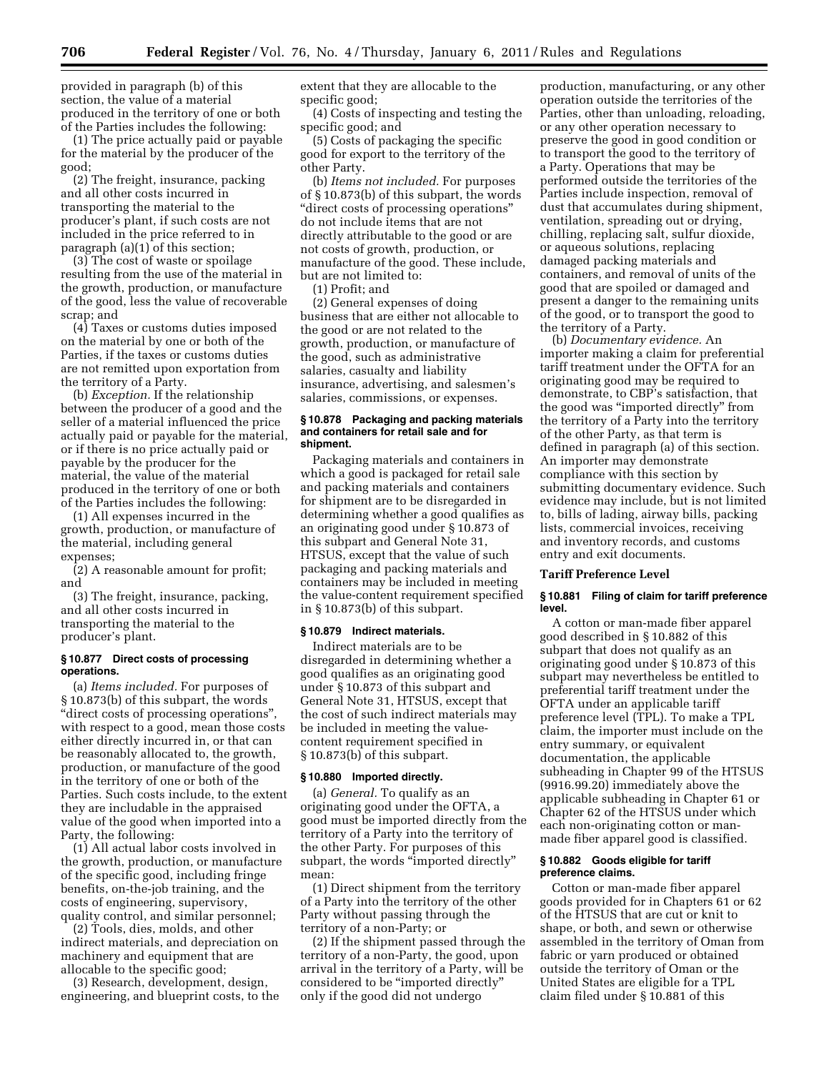provided in paragraph (b) of this section, the value of a material produced in the territory of one or both of the Parties includes the following:

(1) The price actually paid or payable for the material by the producer of the good;

(2) The freight, insurance, packing and all other costs incurred in transporting the material to the producer's plant, if such costs are not included in the price referred to in paragraph (a)(1) of this section;

(3) The cost of waste or spoilage resulting from the use of the material in the growth, production, or manufacture of the good, less the value of recoverable scrap; and

(4) Taxes or customs duties imposed on the material by one or both of the Parties, if the taxes or customs duties are not remitted upon exportation from the territory of a Party.

(b) *Exception.* If the relationship between the producer of a good and the seller of a material influenced the price actually paid or payable for the material, or if there is no price actually paid or payable by the producer for the material, the value of the material produced in the territory of one or both of the Parties includes the following:

(1) All expenses incurred in the growth, production, or manufacture of the material, including general expenses;

(2) A reasonable amount for profit; and

(3) The freight, insurance, packing, and all other costs incurred in transporting the material to the producer's plant.

## **§ 10.877 Direct costs of processing operations.**

(a) *Items included.* For purposes of § 10.873(b) of this subpart, the words ''direct costs of processing operations'', with respect to a good, mean those costs either directly incurred in, or that can be reasonably allocated to, the growth, production, or manufacture of the good in the territory of one or both of the Parties. Such costs include, to the extent they are includable in the appraised value of the good when imported into a Party, the following:

(1) All actual labor costs involved in the growth, production, or manufacture of the specific good, including fringe benefits, on-the-job training, and the costs of engineering, supervisory, quality control, and similar personnel;

(2) Tools, dies, molds, and other indirect materials, and depreciation on machinery and equipment that are allocable to the specific good;

(3) Research, development, design, engineering, and blueprint costs, to the extent that they are allocable to the specific good;

(4) Costs of inspecting and testing the specific good; and

(5) Costs of packaging the specific good for export to the territory of the other Party.

(b) *Items not included.* For purposes of § 10.873(b) of this subpart, the words ''direct costs of processing operations'' do not include items that are not directly attributable to the good or are not costs of growth, production, or manufacture of the good. These include, but are not limited to:

(1) Profit; and

(2) General expenses of doing business that are either not allocable to the good or are not related to the growth, production, or manufacture of the good, such as administrative salaries, casualty and liability insurance, advertising, and salesmen's salaries, commissions, or expenses.

#### **§ 10.878 Packaging and packing materials and containers for retail sale and for shipment.**

Packaging materials and containers in which a good is packaged for retail sale and packing materials and containers for shipment are to be disregarded in determining whether a good qualifies as an originating good under § 10.873 of this subpart and General Note 31, HTSUS, except that the value of such packaging and packing materials and containers may be included in meeting the value-content requirement specified in § 10.873(b) of this subpart.

#### **§ 10.879 Indirect materials.**

Indirect materials are to be disregarded in determining whether a good qualifies as an originating good under § 10.873 of this subpart and General Note 31, HTSUS, except that the cost of such indirect materials may be included in meeting the valuecontent requirement specified in § 10.873(b) of this subpart.

#### **§ 10.880 Imported directly.**

(a) *General.* To qualify as an originating good under the OFTA, a good must be imported directly from the territory of a Party into the territory of the other Party. For purposes of this subpart, the words "imported directly" mean:

(1) Direct shipment from the territory of a Party into the territory of the other Party without passing through the territory of a non-Party; or

(2) If the shipment passed through the territory of a non-Party, the good, upon arrival in the territory of a Party, will be considered to be ''imported directly'' only if the good did not undergo

production, manufacturing, or any other operation outside the territories of the Parties, other than unloading, reloading, or any other operation necessary to preserve the good in good condition or to transport the good to the territory of a Party. Operations that may be performed outside the territories of the Parties include inspection, removal of dust that accumulates during shipment, ventilation, spreading out or drying, chilling, replacing salt, sulfur dioxide, or aqueous solutions, replacing damaged packing materials and containers, and removal of units of the good that are spoiled or damaged and present a danger to the remaining units of the good, or to transport the good to the territory of a Party.

(b) *Documentary evidence.* An importer making a claim for preferential tariff treatment under the OFTA for an originating good may be required to demonstrate, to CBP's satisfaction, that the good was ''imported directly'' from the territory of a Party into the territory of the other Party, as that term is defined in paragraph (a) of this section. An importer may demonstrate compliance with this section by submitting documentary evidence. Such evidence may include, but is not limited to, bills of lading, airway bills, packing lists, commercial invoices, receiving and inventory records, and customs entry and exit documents.

#### **Tariff Preference Level**

#### **§ 10.881 Filing of claim for tariff preference level.**

A cotton or man-made fiber apparel good described in § 10.882 of this subpart that does not qualify as an originating good under § 10.873 of this subpart may nevertheless be entitled to preferential tariff treatment under the OFTA under an applicable tariff preference level (TPL). To make a TPL claim, the importer must include on the entry summary, or equivalent documentation, the applicable subheading in Chapter 99 of the HTSUS (9916.99.20) immediately above the applicable subheading in Chapter 61 or Chapter 62 of the HTSUS under which each non-originating cotton or manmade fiber apparel good is classified.

#### **§ 10.882 Goods eligible for tariff preference claims.**

Cotton or man-made fiber apparel goods provided for in Chapters 61 or 62 of the HTSUS that are cut or knit to shape, or both, and sewn or otherwise assembled in the territory of Oman from fabric or yarn produced or obtained outside the territory of Oman or the United States are eligible for a TPL claim filed under § 10.881 of this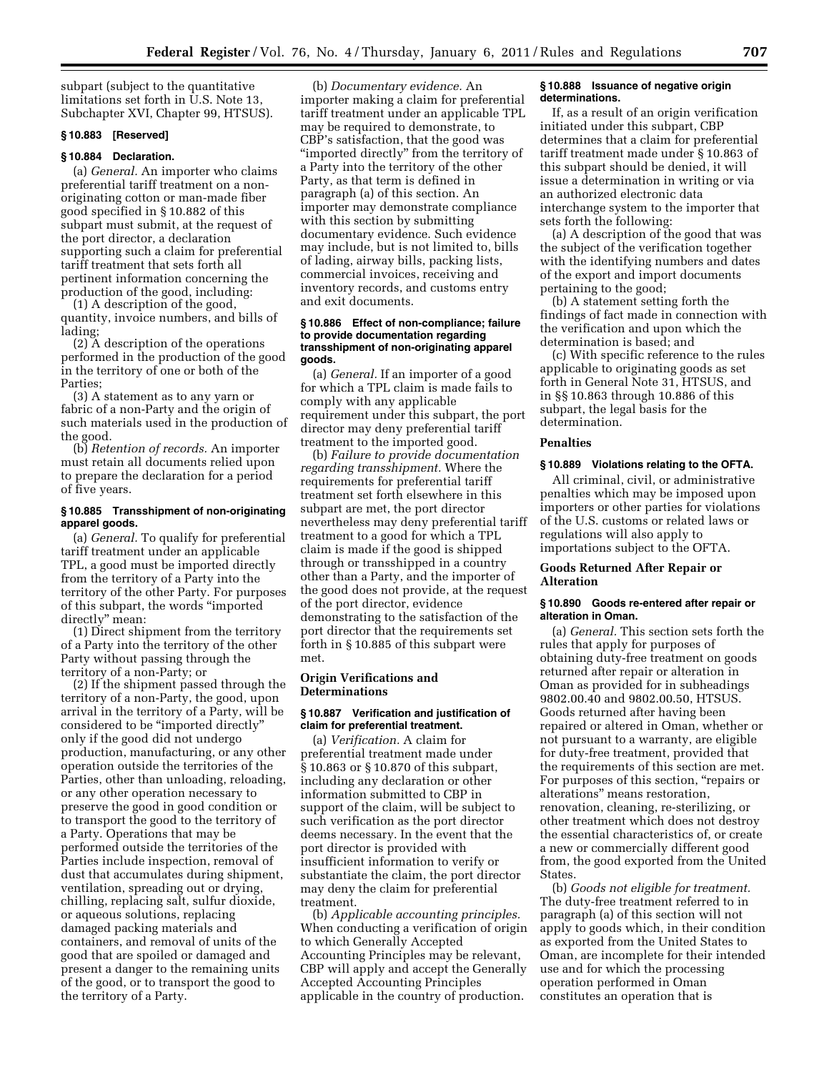subpart (subject to the quantitative limitations set forth in U.S. Note 13, Subchapter XVI, Chapter 99, HTSUS).

#### **§ 10.883 [Reserved]**

#### **§ 10.884 Declaration.**

(a) *General.* An importer who claims preferential tariff treatment on a nonoriginating cotton or man-made fiber good specified in § 10.882 of this subpart must submit, at the request of the port director, a declaration supporting such a claim for preferential tariff treatment that sets forth all pertinent information concerning the production of the good, including:

(1) A description of the good, quantity, invoice numbers, and bills of lading;

(2) A description of the operations performed in the production of the good in the territory of one or both of the Parties;

(3) A statement as to any yarn or fabric of a non-Party and the origin of such materials used in the production of the good.

(b) *Retention of records.* An importer must retain all documents relied upon to prepare the declaration for a period of five years.

#### **§ 10.885 Transshipment of non-originating apparel goods.**

(a) *General.* To qualify for preferential tariff treatment under an applicable TPL, a good must be imported directly from the territory of a Party into the territory of the other Party. For purposes of this subpart, the words ''imported directly'' mean:

(1) Direct shipment from the territory of a Party into the territory of the other Party without passing through the territory of a non-Party; or

(2) If the shipment passed through the territory of a non-Party, the good, upon arrival in the territory of a Party, will be considered to be ''imported directly'' only if the good did not undergo production, manufacturing, or any other operation outside the territories of the Parties, other than unloading, reloading, or any other operation necessary to preserve the good in good condition or to transport the good to the territory of a Party. Operations that may be performed outside the territories of the Parties include inspection, removal of dust that accumulates during shipment, ventilation, spreading out or drying, chilling, replacing salt, sulfur dioxide, or aqueous solutions, replacing damaged packing materials and containers, and removal of units of the good that are spoiled or damaged and present a danger to the remaining units of the good, or to transport the good to the territory of a Party.

(b) *Documentary evidence.* An importer making a claim for preferential tariff treatment under an applicable TPL may be required to demonstrate, to CBP's satisfaction, that the good was ''imported directly'' from the territory of a Party into the territory of the other Party, as that term is defined in paragraph (a) of this section. An importer may demonstrate compliance with this section by submitting documentary evidence. Such evidence may include, but is not limited to, bills of lading, airway bills, packing lists, commercial invoices, receiving and inventory records, and customs entry and exit documents.

#### **§ 10.886 Effect of non-compliance; failure to provide documentation regarding transshipment of non-originating apparel goods.**

(a) *General.* If an importer of a good for which a TPL claim is made fails to comply with any applicable requirement under this subpart, the port director may deny preferential tariff treatment to the imported good.

(b) *Failure to provide documentation regarding transshipment.* Where the requirements for preferential tariff treatment set forth elsewhere in this subpart are met, the port director nevertheless may deny preferential tariff treatment to a good for which a TPL claim is made if the good is shipped through or transshipped in a country other than a Party, and the importer of the good does not provide, at the request of the port director, evidence demonstrating to the satisfaction of the port director that the requirements set forth in § 10.885 of this subpart were met.

## **Origin Verifications and Determinations**

## **§ 10.887 Verification and justification of claim for preferential treatment.**

(a) *Verification.* A claim for preferential treatment made under § 10.863 or § 10.870 of this subpart, including any declaration or other information submitted to CBP in support of the claim, will be subject to such verification as the port director deems necessary. In the event that the port director is provided with insufficient information to verify or substantiate the claim, the port director may deny the claim for preferential treatment.

(b) *Applicable accounting principles.*  When conducting a verification of origin to which Generally Accepted Accounting Principles may be relevant, CBP will apply and accept the Generally Accepted Accounting Principles applicable in the country of production.

#### **§ 10.888 Issuance of negative origin determinations.**

If, as a result of an origin verification initiated under this subpart, CBP determines that a claim for preferential tariff treatment made under § 10.863 of this subpart should be denied, it will issue a determination in writing or via an authorized electronic data interchange system to the importer that sets forth the following:

(a) A description of the good that was the subject of the verification together with the identifying numbers and dates of the export and import documents pertaining to the good;

(b) A statement setting forth the findings of fact made in connection with the verification and upon which the determination is based; and

(c) With specific reference to the rules applicable to originating goods as set forth in General Note 31, HTSUS, and in §§ 10.863 through 10.886 of this subpart, the legal basis for the determination.

## **Penalties**

#### **§ 10.889 Violations relating to the OFTA.**

All criminal, civil, or administrative penalties which may be imposed upon importers or other parties for violations of the U.S. customs or related laws or regulations will also apply to importations subject to the OFTA.

## **Goods Returned After Repair or Alteration**

## **§ 10.890 Goods re-entered after repair or alteration in Oman.**

(a) *General.* This section sets forth the rules that apply for purposes of obtaining duty-free treatment on goods returned after repair or alteration in Oman as provided for in subheadings 9802.00.40 and 9802.00.50, HTSUS. Goods returned after having been repaired or altered in Oman, whether or not pursuant to a warranty, are eligible for duty-free treatment, provided that the requirements of this section are met. For purposes of this section, "repairs or alterations'' means restoration, renovation, cleaning, re-sterilizing, or other treatment which does not destroy the essential characteristics of, or create a new or commercially different good from, the good exported from the United **States** 

(b) *Goods not eligible for treatment.*  The duty-free treatment referred to in paragraph (a) of this section will not apply to goods which, in their condition as exported from the United States to Oman, are incomplete for their intended use and for which the processing operation performed in Oman constitutes an operation that is